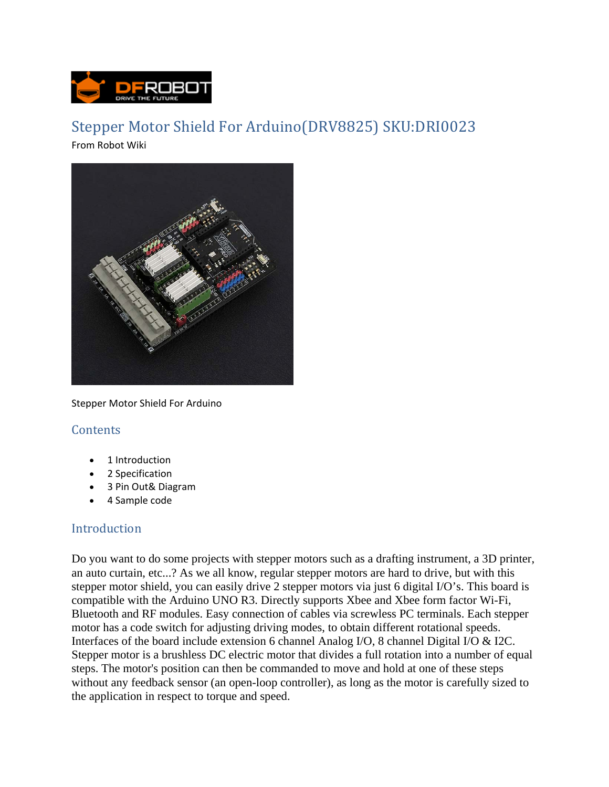

# Stepper Motor Shield For Arduino(DRV8825) SKU:DRI0023

From Robot Wiki



Stepper Motor Shield For Arduino

## **Contents**

- 1 Introduction
- 2 Specification
- 3 Pin Out& Diagram
- 4 Sample code

## Introduction

Do you want to do some projects with stepper motors such as a drafting instrument, a 3D printer, an auto curtain, etc...? As we all know, regular stepper motors are hard to drive, but with this stepper motor shield, you can easily drive 2 stepper motors via just 6 digital I/O's. This board is compatible with the Arduino UNO R3. Directly supports Xbee and Xbee form factor Wi-Fi, Bluetooth and RF modules. Easy connection of cables via screwless PC terminals. Each stepper motor has a code switch for adjusting driving modes, to obtain different rotational speeds. Interfaces of the board include extension 6 channel Analog I/O, 8 channel Digital I/O & I2C. Stepper motor is a brushless DC electric motor that divides a full rotation into a number of equal steps. The motor's position can then be commanded to move and hold at one of these steps without any feedback sensor (an open-loop controller), as long as the motor is carefully sized to the application in respect to torque and speed.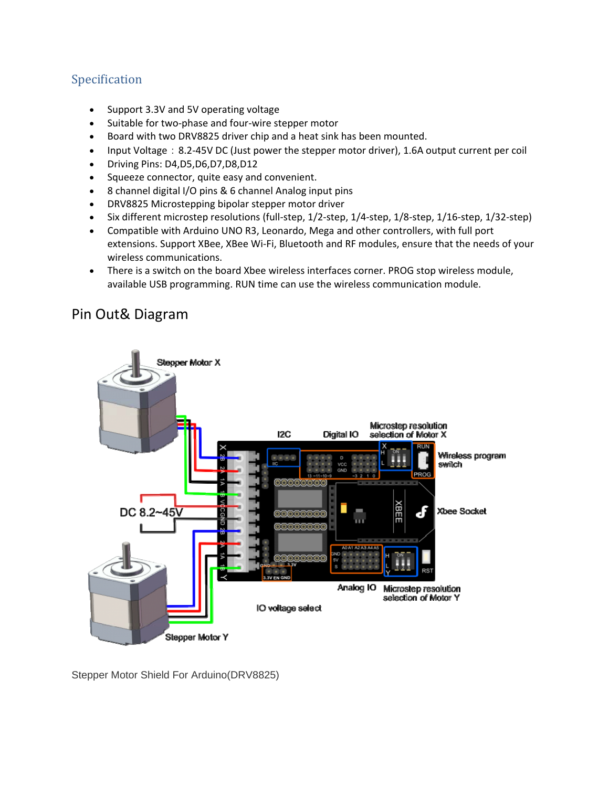## Specification

- Support 3.3V and 5V operating voltage
- Suitable for two-phase and four-wire stepper motor
- Board with two DRV8825 driver chip and a heat sink has been mounted.
- Input Voltage: 8.2-45V DC (Just power the stepper motor driver), 1.6A output current per coil
- Driving Pins: D4,D5,D6,D7,D8,D12
- Squeeze connector, quite easy and convenient.
- 8 channel digital I/O pins & 6 channel Analog input pins
- DRV8825 Microstepping bipolar stepper motor driver
- Six different microstep resolutions (full-step, 1/2-step, 1/4-step, 1/8-step, 1/16-step, 1/32-step)
- Compatible with Arduino UNO R3, Leonardo, Mega and other controllers, with full port extensions. Support XBee, XBee Wi‐Fi, Bluetooth and RF modules, ensure that the needs of your wireless communications.
- There is a switch on the board Xbee wireless interfaces corner. PROG stop wireless module, available USB programming. RUN time can use the wireless communication module.

# Pin Out& Diagram



Stepper Motor Shield For Arduino(DRV8825)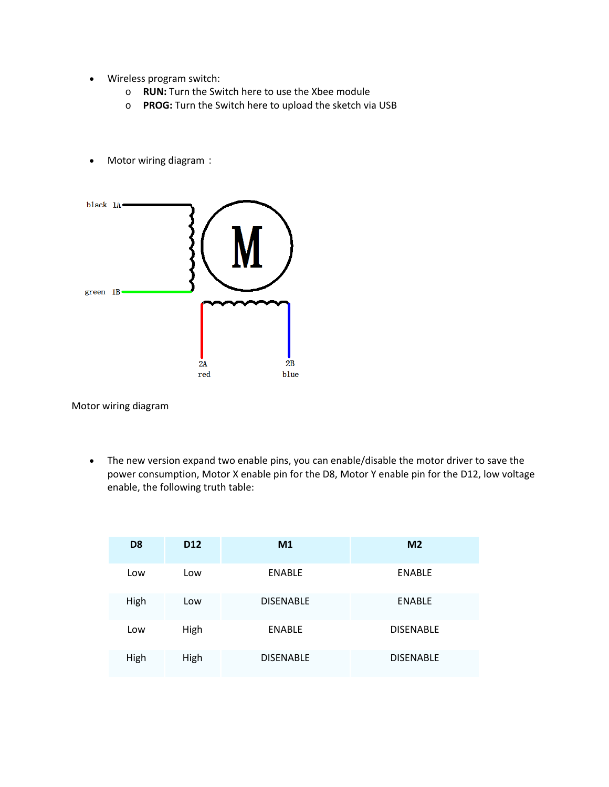- Wireless program switch:
	- o **RUN:** Turn the Switch here to use the Xbee module
	- o **PROG:** Turn the Switch here to upload the sketch via USB
- Motor wiring diagram:



Motor wiring diagram

 The new version expand two enable pins, you can enable/disable the motor driver to save the power consumption, Motor X enable pin for the D8, Motor Y enable pin for the D12, low voltage enable, the following truth table:

| D <sub>8</sub> | D <sub>12</sub> | M <sub>1</sub>   | M <sub>2</sub>   |
|----------------|-----------------|------------------|------------------|
| Low            | Low             | <b>ENABLE</b>    | <b>ENABLE</b>    |
| High           | Low             | <b>DISENABLE</b> | <b>ENABLE</b>    |
| Low            | High            | <b>ENABLE</b>    | <b>DISENABLE</b> |
| High           | High            | <b>DISENABLE</b> | <b>DISENABLE</b> |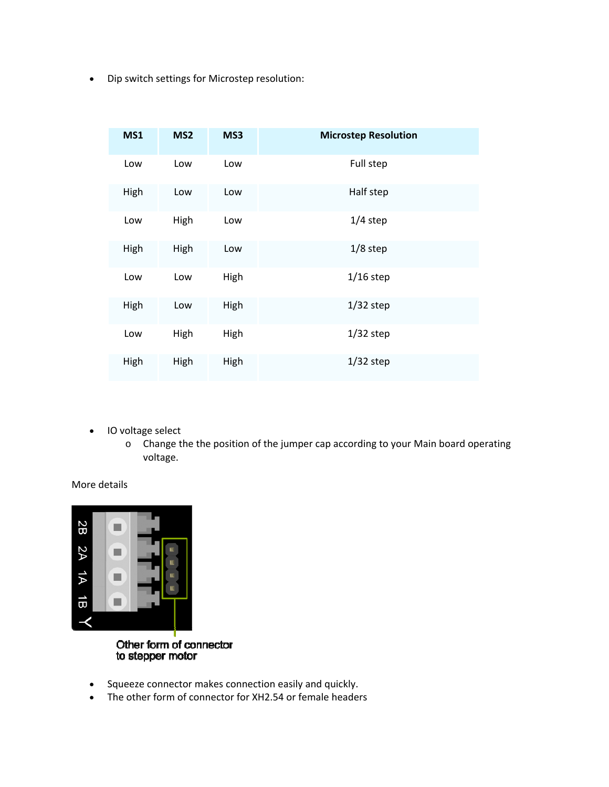Dip switch settings for Microstep resolution:

| <b>MS1</b> | MS <sub>2</sub> | MS3  | <b>Microstep Resolution</b> |
|------------|-----------------|------|-----------------------------|
| Low        | Low             | Low  | Full step                   |
| High       | Low             | Low  | Half step                   |
| Low        | High            | Low  | $1/4$ step                  |
| High       | High            | Low  | $1/8$ step                  |
| Low        | Low             | High | $1/16$ step                 |
| High       | Low             | High | $1/32$ step                 |
| Low        | High            | High | $1/32$ step                 |
| High       | High            | High | $1/32$ step                 |

- IO voltage select
	- o Change the the position of the jumper cap according to your Main board operating voltage.

#### More details



Other form of connector<br>to stepper motor

- Squeeze connector makes connection easily and quickly.
- The other form of connector for XH2.54 or female headers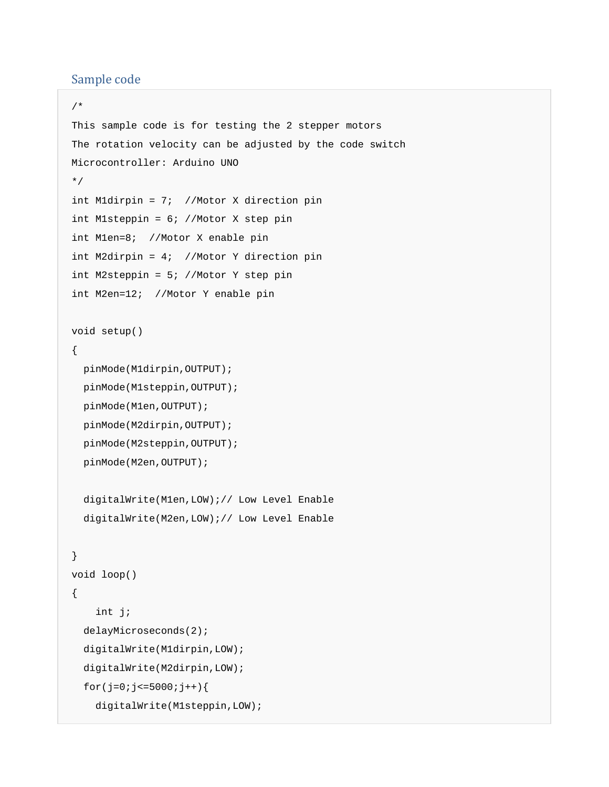### Sample code

```
/* 
This sample code is for testing the 2 stepper motors 
The rotation velocity can be adjusted by the code switch 
Microcontroller: Arduino UNO 
*/ 
int M1dirpin = 7; //Motor X direction pin 
int M1steppin = 6; //Motor X step pin 
int M1en=8; //Motor X enable pin 
int M2dirpin = 4; //Motor Y direction pin 
int M2steppin = 5; //Motor Y step pin 
int M2en=12; //Motor Y enable pin 
void setup() 
{ 
   pinMode(M1dirpin,OUTPUT); 
   pinMode(M1steppin,OUTPUT); 
   pinMode(M1en,OUTPUT); 
   pinMode(M2dirpin,OUTPUT); 
   pinMode(M2steppin,OUTPUT); 
   pinMode(M2en,OUTPUT); 
   digitalWrite(M1en,LOW);// Low Level Enable 
   digitalWrite(M2en,LOW);// Low Level Enable 
} 
void loop() 
{ 
     int j; 
   delayMicroseconds(2); 
   digitalWrite(M1dirpin,LOW); 
   digitalWrite(M2dirpin,LOW); 
  for(j=0;j <= 5000; j + + ) {
     digitalWrite(M1steppin,LOW);
```